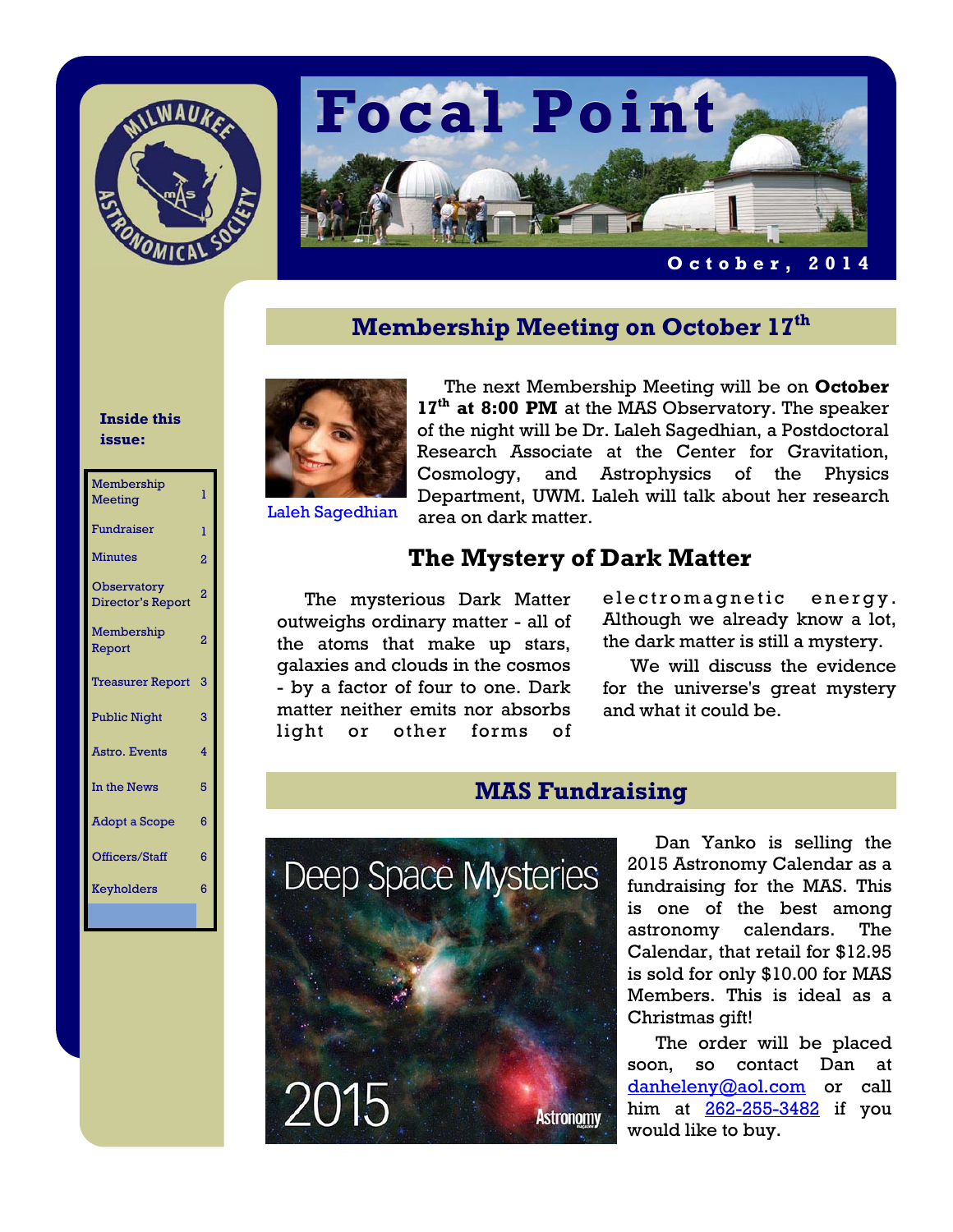



**October, 2014** 

## **Membership Meeting on October 17th**

### **Inside this issue:**

| Membership<br><b>Meeting</b>     | ī              |
|----------------------------------|----------------|
| Fundraiser                       | ī              |
| <b>Minutes</b>                   | $\overline{2}$ |
| Observatory<br>Director's Report | $\overline{2}$ |
| Membership<br>Report             | 2              |
| <b>Treasurer Report</b>          | 3              |
| <b>Public Night</b>              | 3              |
| Astro, Events                    | 4              |
| In the News                      | 5              |
| <b>Adopt a Scope</b>             | 6              |
| Officers/Staff                   | 6              |
| Keyholders                       | 6              |
|                                  |                |

The next Membership Meeting will be on **October**  17<sup>th</sup> at 8:00 PM at the MAS Observatory. The speaker of the night will be Dr. Laleh Sagedhian, a Postdoctoral Research Associate at the Center for Gravitation, Cosmology, and Astrophysics of the Physics Department, UWM. Laleh will talk about her research area on dark matter.

### Laleh Sagedhian

## **The Mystery of Dark Matter**

The mysterious Dark Matter outweighs ordinary matter - all of the atoms that make up stars, galaxies and clouds in the cosmos - by a factor of four to one. Dark matter neither emits nor absorbs light or other forms of electromagnetic energy. Although we already know a lot, the dark matter is still a mystery.

 We will discuss the evidence for the universe's great mystery and what it could be.

### **MAS Fundraising**



Dan Yanko is selling the 2015 Astronomy Calendar as a fundraising for the MAS. This is one of the best among astronomy calendars. The Calendar, that retail for \$12.95 is sold for only \$10.00 for MAS Members. This is ideal as a Christmas gift!

 The order will be placed soon, so contact Dan at danheleny@aol.com or call him at 262-255-3482 if you would like to buy.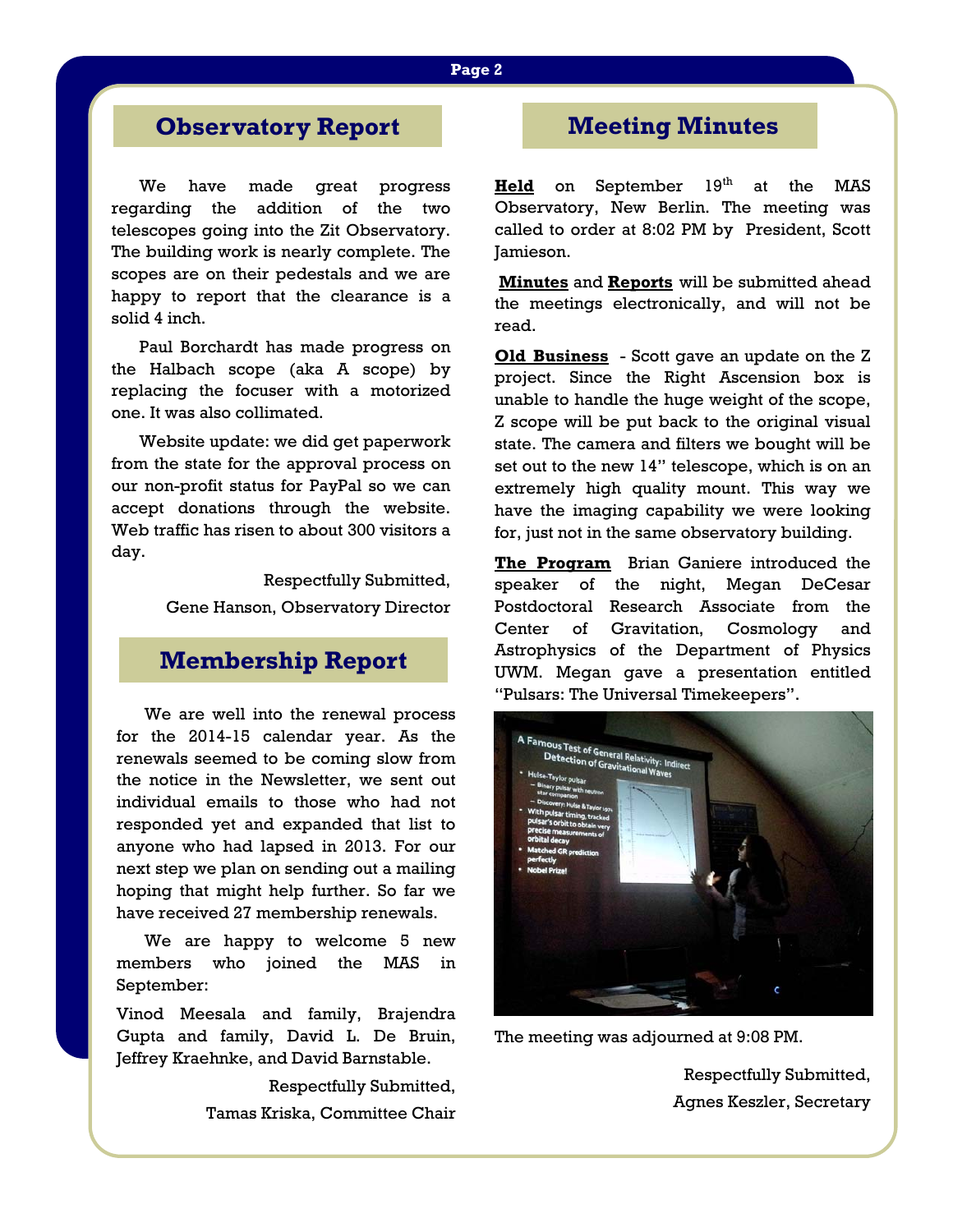### **Page 2**

## **Observatory Report**

We have made great progress regarding the addition of the two telescopes going into the Zit Observatory. The building work is nearly complete. The scopes are on their pedestals and we are happy to report that the clearance is a solid 4 inch.

 Paul Borchardt has made progress on the Halbach scope (aka A scope) by replacing the focuser with a motorized one. It was also collimated.

 Website update: we did get paperwork from the state for the approval process on our non-profit status for PayPal so we can accept donations through the website. Web traffic has risen to about 300 visitors a day.

> Respectfully Submitted, Gene Hanson, Observatory Director

## **Membership Report**

We are well into the renewal process for the 2014-15 calendar year. As the renewals seemed to be coming slow from the notice in the Newsletter, we sent out individual emails to those who had not responded yet and expanded that list to anyone who had lapsed in 2013. For our next step we plan on sending out a mailing hoping that might help further. So far we have received 27 membership renewals.

 We are happy to welcome 5 new members who joined the MAS in September:

Vinod Meesala and family, Brajendra Gupta and family, David L. De Bruin, Jeffrey Kraehnke, and David Barnstable.

> Respectfully Submitted, Tamas Kriska, Committee Chair

## **Meeting Minutes**

**Held** on September 19<sup>th</sup> at the MAS Observatory, New Berlin. The meeting was called to order at 8:02 PM by President, Scott Jamieson.

**Minutes** and **Reports** will be submitted ahead the meetings electronically, and will not be read.

**Old Business** - Scott gave an update on the Z project. Since the Right Ascension box is unable to handle the huge weight of the scope, Z scope will be put back to the original visual state. The camera and filters we bought will be set out to the new 14" telescope, which is on an extremely high quality mount. This way we have the imaging capability we were looking for, just not in the same observatory building.

**The Program** Brian Ganiere introduced the speaker of the night, Megan DeCesar Postdoctoral Research Associate from the Center of Gravitation, Cosmology and Astrophysics of the Department of Physics UWM. Megan gave a presentation entitled "Pulsars: The Universal Timekeepers".



The meeting was adjourned at 9:08 PM.

Respectfully Submitted, Agnes Keszler, Secretary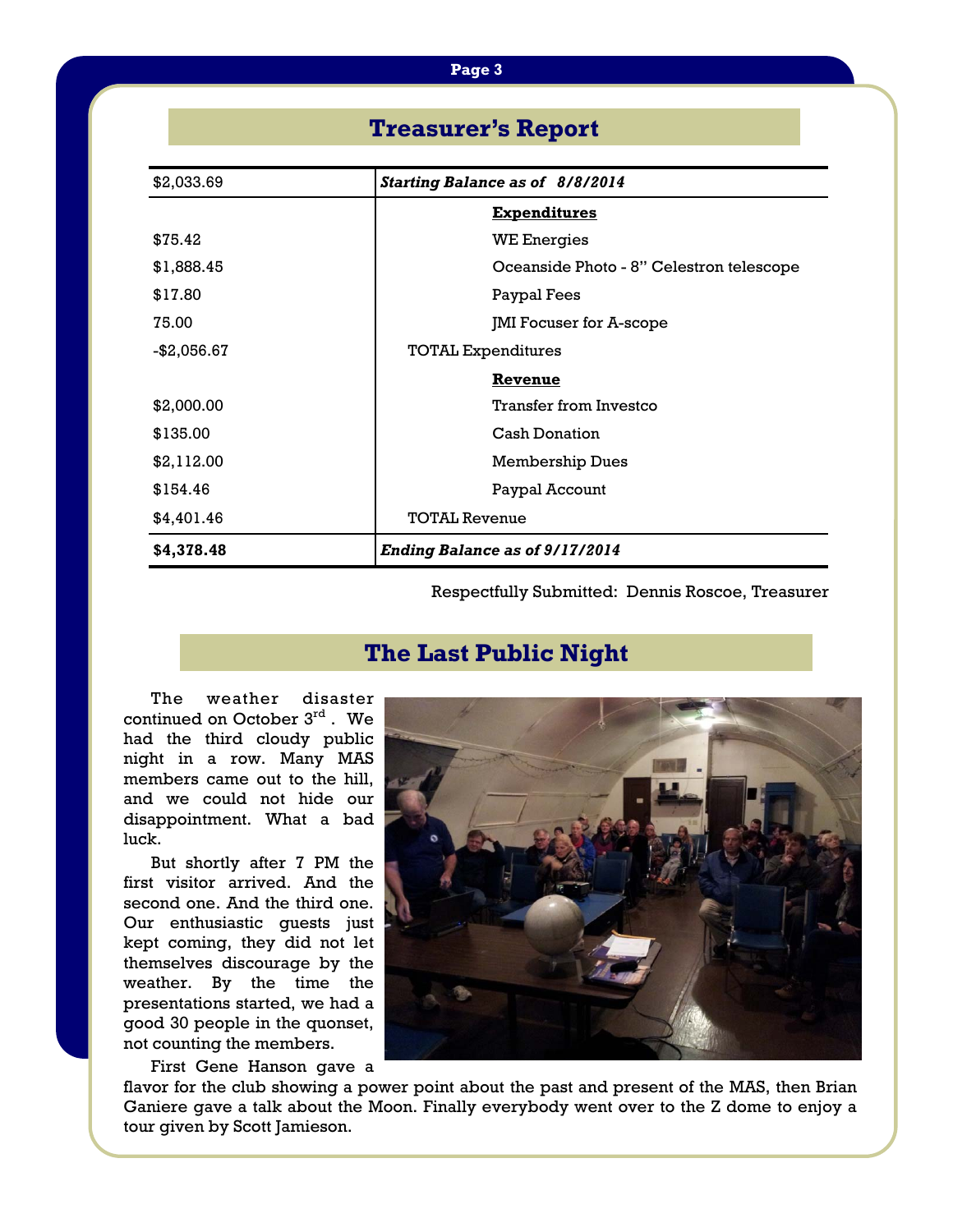### **Page 3**

## **Treasurer's Report**

| \$2,033.69  | <b>Starting Balance as of 8/8/2014</b>   |  |
|-------------|------------------------------------------|--|
|             | <b>Expenditures</b>                      |  |
| \$75.42     | <b>WE Energies</b>                       |  |
| \$1,888.45  | Oceanside Photo - 8" Celestron telescope |  |
| \$17.80     | Paypal Fees                              |  |
| 75.00       | JMI Focuser for A-scope                  |  |
| -\$2,056.67 | <b>TOTAL Expenditures</b>                |  |
|             | Revenue                                  |  |
| \$2,000.00  | Transfer from Investco                   |  |
| \$135.00    | <b>Cash Donation</b>                     |  |
| \$2,112.00  | <b>Membership Dues</b>                   |  |
| \$154.46    | Paypal Account                           |  |
| \$4,401.46  | <b>TOTAL Revenue</b>                     |  |
| \$4,378.48  | <b>Ending Balance as of 9/17/2014</b>    |  |

Respectfully Submitted: Dennis Roscoe, Treasurer

## **The Last Public Night**

 The weather disaster continued on October 3rd . We had the third cloudy public night in a row. Many MAS members came out to the hill, and we could not hide our disappointment. What a bad luck.

 But shortly after 7 PM the first visitor arrived. And the second one. And the third one. Our enthusiastic guests just kept coming, they did not let themselves discourage by the weather. By the time the presentations started, we had a good 30 people in the quonset, not counting the members.

First Gene Hanson gave a



flavor for the club showing a power point about the past and present of the MAS, then Brian Ganiere gave a talk about the Moon. Finally everybody went over to the Z dome to enjoy a tour given by Scott Jamieson.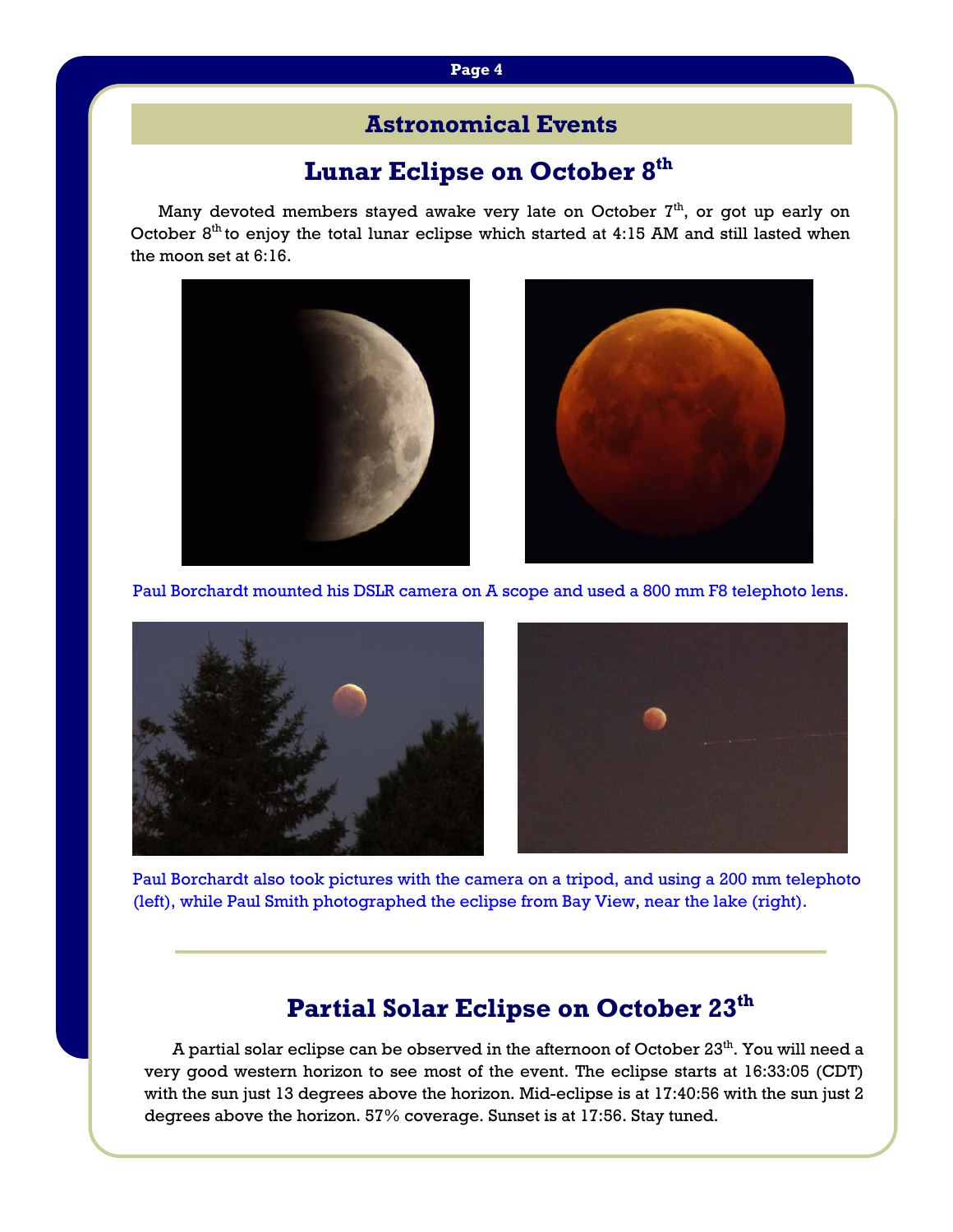## **Astronomical Events**

## **Lunar Eclipse on October 8th**

Many devoted members stayed awake very late on October  $7<sup>th</sup>$ , or got up early on October  $8<sup>th</sup>$  to enjoy the total lunar eclipse which started at 4:15 AM and still lasted when the moon set at 6:16.





Paul Borchardt mounted his DSLR camera on A scope and used a 800 mm F8 telephoto lens.



Paul Borchardt also took pictures with the camera on a tripod, and using a 200 mm telephoto (left), while Paul Smith photographed the eclipse from Bay View, near the lake (right).

## **Partial Solar Eclipse on October 23th**

A partial solar eclipse can be observed in the afternoon of October 23<sup>th</sup>. You will need a very good western horizon to see most of the event. The eclipse starts at 16:33:05 (CDT) with the sun just 13 degrees above the horizon. Mid-eclipse is at 17:40:56 with the sun just 2 degrees above the horizon. 57% coverage. Sunset is at 17:56. Stay tuned.

### **Page 4**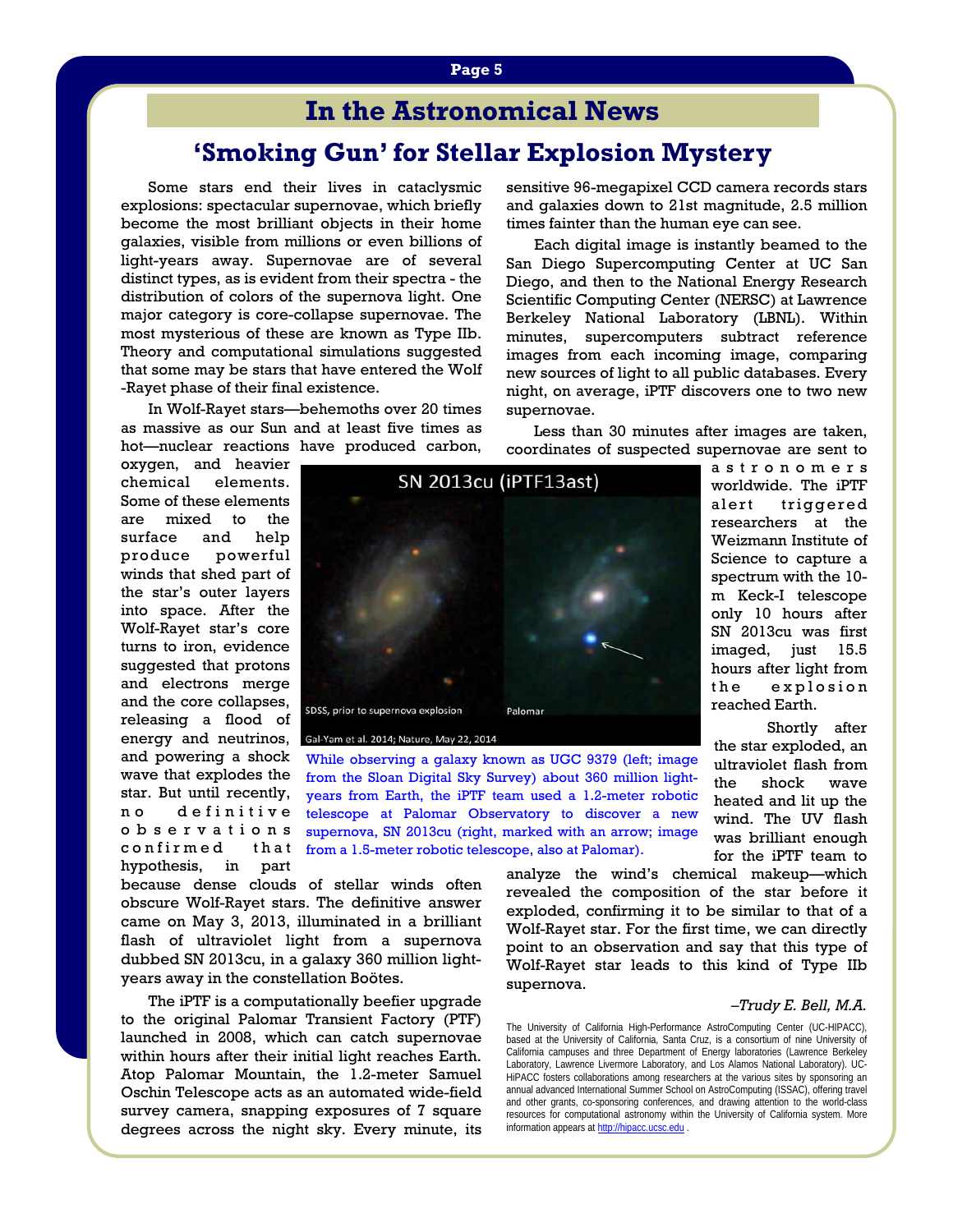## **In the Astronomical News**

## **'Smoking Gun' for Stellar Explosion Mystery**

Some stars end their lives in cataclysmic explosions: spectacular supernovae, which briefly become the most brilliant objects in their home galaxies, visible from millions or even billions of light-years away. Supernovae are of several distinct types, as is evident from their spectra - the distribution of colors of the supernova light. One major category is core-collapse supernovae. The most mysterious of these are known as Type IIb. Theory and computational simulations suggested that some may be stars that have entered the Wolf -Rayet phase of their final existence.

 In Wolf-Rayet stars—behemoths over 20 times as massive as our Sun and at least five times as hot—nuclear reactions have produced carbon,

oxygen, and heavier chemical elements. Some of these elements are mixed to the surface and help produce powerful winds that shed part of the star's outer layers into space. After the Wolf-Rayet star's core turns to iron, evidence suggested that protons and electrons merge and the core collapses, releasing a flood of energy and neutrinos, and powering a shock wave that explodes the star. But until recently, no definitive o b s e r v a t i o n s confirmed that hypothesis, in part

SN 2013cu (iPTF13ast) SDSS, prior to supernova explosion Palomar

Gal-Yam et al. 2014; Nature, May 22, 2014

While observing a galaxy known as UGC 9379 (left; image from the Sloan Digital Sky Survey) about 360 million lightyears from Earth, the iPTF team used a 1.2-meter robotic telescope at Palomar Observatory to discover a new supernova, SN 2013cu (right, marked with an arrow; image from a 1.5-meter robotic telescope, also at Palomar).

because dense clouds of stellar winds often obscure Wolf-Rayet stars. The definitive answer came on May 3, 2013, illuminated in a brilliant flash of ultraviolet light from a supernova dubbed SN 2013cu, in a galaxy 360 million lightyears away in the constellation Boötes.

 The iPTF is a computationally beefier upgrade to the original Palomar Transient Factory (PTF) launched in 2008, which can catch supernovae within hours after their initial light reaches Earth. Atop Palomar Mountain, the 1.2-meter Samuel Oschin Telescope acts as an automated wide-field survey camera, snapping exposures of 7 square degrees across the night sky. Every minute, its

analyze the wind's chemical makeup—which revealed the composition of the star before it exploded, confirming it to be similar to that of a Wolf-Rayet star. For the first time, we can directly point to an observation and say that this type of Wolf-Rayet star leads to this kind of Type IIb supernova.

#### *–Trudy E. Bell, M.A.*

The University of California High-Performance AstroComputing Center (UC-HIPACC), based at the University of California, Santa Cruz, is a consortium of nine University of California campuses and three Department of Energy laboratories (Lawrence Berkeley Laboratory, Lawrence Livermore Laboratory, and Los Alamos National Laboratory). UC-HiPACC fosters collaborations among researchers at the various sites by sponsoring an annual advanced International Summer School on AstroComputing (ISSAC), offering travel and other grants, co-sponsoring conferences, and drawing attention to the world-class resources for computational astronomy within the University of California system. More information appears at http://hipacc.ucsc.edu .

a s t r o n o m e r s worldwide. The iPTF alert triggered researchers at the Weizmann Institute of Science to capture a spectrum with the 10 m Keck-I telescope only 10 hours after SN 2013cu was first imaged, just 15.5 hours after light from the explosion

reached Earth. Shortly after the star exploded, an ultraviolet flash from the shock wave heated and lit up the wind. The UV flash was brilliant enough

for the iPTF team to

 Less than 30 minutes after images are taken, coordinates of suspected supernovae are sent to

sensitive 96-megapixel CCD camera records stars and galaxies down to 21st magnitude, 2.5 million times fainter than the human eye can see.

 Each digital image is instantly beamed to the San Diego Supercomputing Center at UC San Diego, and then to the National Energy Research Scientific Computing Center (NERSC) at Lawrence Berkeley National Laboratory (LBNL). Within minutes, supercomputers subtract reference images from each incoming image, comparing new sources of light to all public databases. Every night, on average, iPTF discovers one to two new supernovae.

**Page 5**